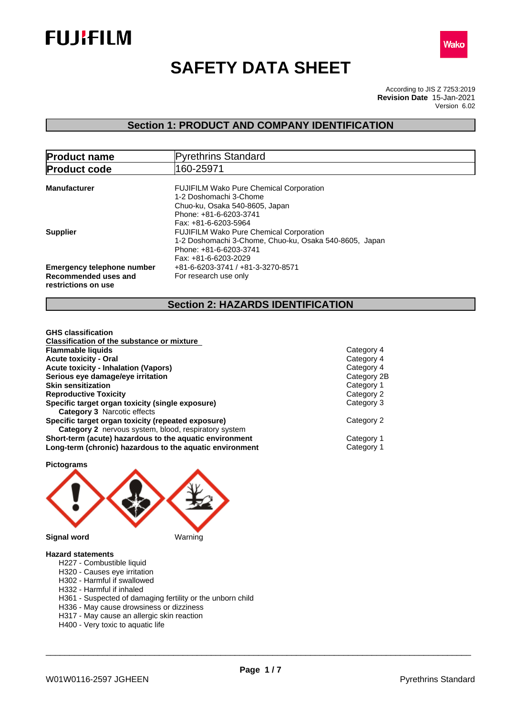



# **SAFETY DATA SHEET**

According to JIS Z 7253:2019 Version 6.02 **Revision Date** 15-Jan-2021

# **Section 1: PRODUCT AND COMPANY IDENTIFICATION**

| <b>Product name</b>                                                              | Pyrethrins Standard                                                                                                                                                                |
|----------------------------------------------------------------------------------|------------------------------------------------------------------------------------------------------------------------------------------------------------------------------------|
| <b>Product code</b>                                                              | 160-25971                                                                                                                                                                          |
| <b>Manufacturer</b>                                                              | <b>FUJIFILM Wako Pure Chemical Corporation</b><br>1-2 Doshomachi 3-Chome<br>Chuo-ku, Osaka 540-8605, Japan<br>Phone: +81-6-6203-3741                                               |
| <b>Supplier</b>                                                                  | Fax: +81-6-6203-5964<br><b>FUJIFILM Wako Pure Chemical Corporation</b><br>1-2 Doshomachi 3-Chome, Chuo-ku, Osaka 540-8605, Japan<br>Phone: +81-6-6203-3741<br>Fax: +81-6-6203-2029 |
| <b>Emergency telephone number</b><br>Recommended uses and<br>restrictions on use | +81-6-6203-3741 / +81-3-3270-8571<br>For research use only                                                                                                                         |

# **Section 2: HAZARDS IDENTIFICATION**

| <b>GHS</b> classification                                |             |
|----------------------------------------------------------|-------------|
| <b>Classification of the substance or mixture</b>        |             |
| <b>Flammable liquids</b>                                 | Category 4  |
| <b>Acute toxicity - Oral</b>                             | Category 4  |
| <b>Acute toxicity - Inhalation (Vapors)</b>              | Category 4  |
| Serious eye damage/eye irritation                        | Category 2B |
| <b>Skin sensitization</b>                                | Category 1  |
| <b>Reproductive Toxicity</b>                             | Category 2  |
| Specific target organ toxicity (single exposure)         | Category 3  |
| <b>Category 3</b> Narcotic effects                       |             |
| Specific target organ toxicity (repeated exposure)       | Category 2  |
| Category 2 nervous system, blood, respiratory system     |             |
| Short-term (acute) hazardous to the aquatic environment  | Category 1  |
| Long-term (chronic) hazardous to the aquatic environment | Category 1  |
|                                                          |             |



#### **Hazard statements**

- H227 Combustible liquid
- H320 Causes eye irritation
- H302 Harmful if swallowed
- H332 Harmful if inhaled
- H361 Suspected of damaging fertility or the unborn child
- H336 May cause drowsiness or dizziness
- H317 May cause an allergic skin reaction
- H400 Very toxic to aquatic life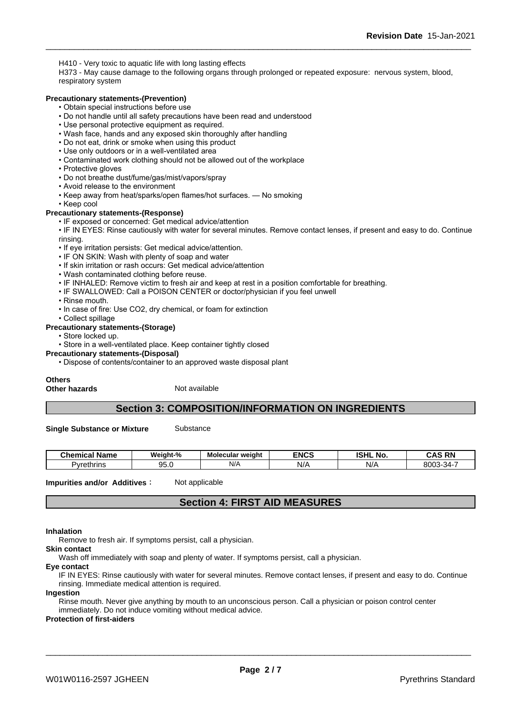H410 - Very toxic to aquatic life with long lasting effects

H373 - May cause damage to the following organs through prolonged or repeated exposure: nervous system, blood, respiratory system

#### **Precautionary statements-(Prevention)**

- Obtain special instructions before use
- Do not handle until all safety precautions have been read and understood
- Use personal protective equipment as required.
- Wash face, hands and any exposed skin thoroughly after handling
- Do not eat, drink or smoke when using this product
- Use only outdoors or in a well-ventilated area
- Contaminated work clothing should not be allowed out of the workplace
- Protective gloves
- Do not breathe dust/fume/gas/mist/vapors/spray
- Avoid release to the environment
- Keep away from heat/sparks/open flames/hot surfaces. No smoking
- Keep cool

#### **Precautionary statements-(Response)**

• IF exposed or concerned: Get medical advice/attention

• IF IN EYES: Rinse cautiously with water for several minutes. Remove contact lenses, if present and easy to do. Continue rinsing.

- If eye irritation persists: Get medical advice/attention.
- IF ON SKIN: Wash with plenty of soap and water
- If skin irritation or rash occurs: Get medical advice/attention
- Wash contaminated clothing before reuse.
- IF INHALED: Remove victim to fresh air and keep at rest in a position comfortable for breathing.
- IF SWALLOWED: Call a POISON CENTER or doctor/physician if you feel unwell
- Rinse mouth.
- In case of fire: Use CO2, dry chemical, or foam for extinction
- Collect spillage

#### **Precautionary statements-(Storage)**

- Store locked up.
- Store in a well-ventilated place. Keep container tightly closed
- **Precautionary statements-(Disposal)**
	- Dispose of contents/container to an approved waste disposal plant

#### **Others**

**Other hazards** Not available

# **Section 3: COMPOSITION/INFORMATION ON INGREDIENTS**

**Single Substance or Mixture** Substance

| ∵Name<br>∵ hemicalس | Weight-%  | weiaht<br>Molecular <b>m</b> | <b>ENCS</b> | <b>ISHL No.</b> | <b>RN</b><br>.<br>$\sim$ |
|---------------------|-----------|------------------------------|-------------|-----------------|--------------------------|
| Pvrethrins          | ΩE<br>いいい | N/A                          | NL/<br>     | NL.<br>w        | 8003<br>-34-د            |

**Impurities and/or Additives**: Not applicable

# **Section 4: FIRST AID MEASURES**

#### **Inhalation**

Remove to fresh air. If symptoms persist, call a physician.

**Skin contact**

Wash off immediately with soap and plenty of water. If symptoms persist, call a physician.

**Eye contact**

IF IN EYES: Rinse cautiously with water for several minutes. Remove contact lenses, if present and easy to do. Continue rinsing. Immediate medical attention is required.

**Ingestion**

Rinse mouth. Never give anything by mouth to an unconscious person. Call a physician or poison control center immediately. Do not induce vomiting without medical advice.

#### **Protection of first-aiders**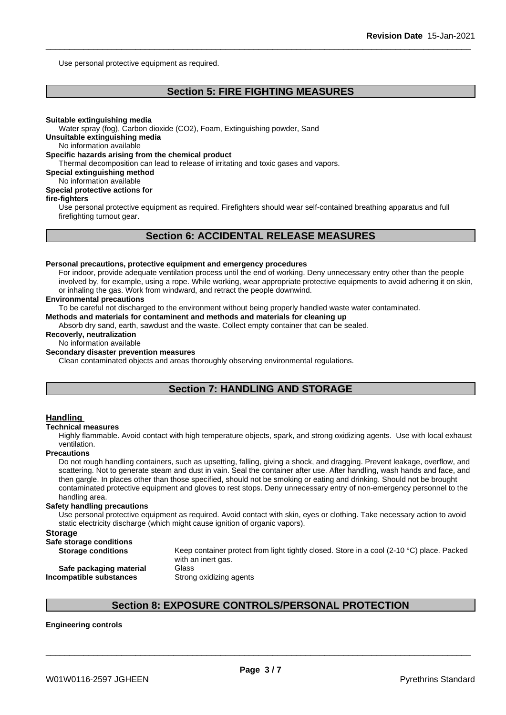Use personal protective equipment as required.

# **Section 5: FIRE FIGHTING MEASURES**

#### **Suitable extinguishing media**

Water spray (fog), Carbon dioxide (CO2), Foam, Extinguishing powder, Sand

**Unsuitable extinguishing media**

No information available

#### **Specific hazards arising from the chemical product**

Thermal decomposition can lead to release of irritating and toxic gases and vapors.

#### **Special extinguishing method**

# No information available

## **Special protective actions for**

### **fire-fighters**

Use personal protective equipment as required.Firefighters should wear self-contained breathing apparatus and full firefighting turnout gear.

# **Section 6: ACCIDENTAL RELEASE MEASURES**

#### **Personal precautions, protective equipment and emergency procedures**

For indoor, provide adequate ventilation process until the end of working. Deny unnecessary entry other than the people involved by, for example, using a rope. While working, wear appropriate protective equipments to avoid adhering it on skin, or inhaling the gas. Work from windward, and retract the people downwind.

#### **Environmental precautions**

To be careful not discharged to the environment without being properly handled waste water contaminated.

#### **Methods and materials for contaminent and methods and materials for cleaning up**

Absorb dry sand, earth, sawdust and the waste. Collect empty container that can be sealed.

#### **Recoverly, neutralization**

#### No information available

#### **Secondary disaster prevention measures**

Clean contaminated objects and areas thoroughly observing environmental regulations.

# **Section 7: HANDLING AND STORAGE**

#### **Handling**

#### **Technical measures**

Highly flammable. Avoid contact with high temperature objects, spark, and strong oxidizing agents. Use with local exhaust ventilation.

#### **Precautions**

Do not rough handling containers, such as upsetting, falling, giving a shock, and dragging. Prevent leakage, overflow, and scattering. Not to generate steam and dust in vain. Seal the container after use. After handling, wash hands and face, and then gargle. In places other than those specified, should not be smoking or eating and drinking. Should not be brought contaminated protective equipment and gloves to rest stops. Deny unnecessary entry of non-emergency personnel to the handling area.

#### **Safety handling precautions**

Use personal protective equipment as required.Avoid contact with skin, eyes or clothing. Take necessary action to avoid static electricity discharge (which might cause ignition of organic vapors).

#### **Storage**

| Safe storage conditions   |                                                                                                     |
|---------------------------|-----------------------------------------------------------------------------------------------------|
| <b>Storage conditions</b> | Keep container protect from light tightly closed. Store in a cool (2-10 $^{\circ}$ C) place. Packed |
|                           | with an inert gas.                                                                                  |
| Safe packaging material   | Glass                                                                                               |
| Incompatible substances   | Strong oxidizing agents                                                                             |
|                           |                                                                                                     |

# **Section 8: EXPOSURE CONTROLS/PERSONAL PROTECTION**

# **Engineering controls**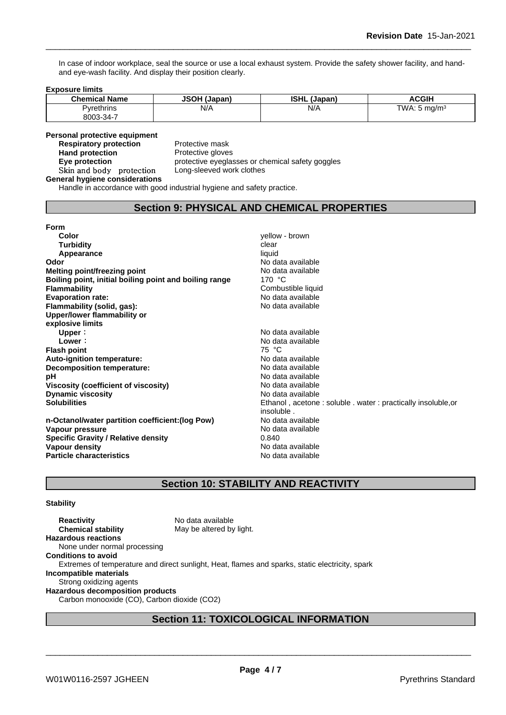In case of indoor workplace, seal the source or use a local exhaust system. Provide the safety shower facility, and handand eye-wash facility. And display their position clearly.

#### **Exposure limits**

| <b>Chemical Name</b> | <b>JSOH (J)</b><br>  (Japan) | <b>ISHL</b><br>(Japan) | <b>ACGIH</b>              |
|----------------------|------------------------------|------------------------|---------------------------|
| vrethrins            | N/A                          | N/A                    | TWA.<br>ma/m <sup>3</sup> |
| 8003-34-7            |                              |                        |                           |

# **Personal protective equipment**<br>**Respiratory protection** Protective mask

**Respiratory protection**<br>Hand protection **Skinandbody protection** Long-sleeved work clothes

**Protective gloves Eye protection Eye protective** eyeglasses or chemical safety goggles

### **General hygiene considerations**

Handle in accordance with good industrial hygiene and safety practice.

# **Section 9: PHYSICAL AND CHEMICAL PROPERTIES**

### **Form**

| Color<br><b>Turbidity</b><br>Appearance<br>Odor<br>Melting point/freezing point<br>Boiling point, initial boiling point and boiling range<br><b>Flammability</b>       | yellow - brown<br>clear<br>liquid<br>No data available<br>No data available<br>170 $\degree$ C<br>Combustible liquid |
|------------------------------------------------------------------------------------------------------------------------------------------------------------------------|----------------------------------------------------------------------------------------------------------------------|
| <b>Evaporation rate:</b><br>Flammability (solid, gas):                                                                                                                 | No data available<br>No data available                                                                               |
| Upper/lower flammability or                                                                                                                                            |                                                                                                                      |
| explosive limits                                                                                                                                                       |                                                                                                                      |
| Upper:                                                                                                                                                                 | No data available                                                                                                    |
| Lower:                                                                                                                                                                 | No data available                                                                                                    |
| <b>Flash point</b>                                                                                                                                                     | 75 °C                                                                                                                |
| Auto-ignition temperature:                                                                                                                                             | No data available                                                                                                    |
| Decomposition temperature:                                                                                                                                             | No data available                                                                                                    |
| pH                                                                                                                                                                     | No data available                                                                                                    |
| Viscosity (coefficient of viscosity)                                                                                                                                   | No data available                                                                                                    |
| <b>Dynamic viscosity</b>                                                                                                                                               | No data available                                                                                                    |
| <b>Solubilities</b>                                                                                                                                                    | Ethanol, acetone: soluble. water: practically insoluble, or                                                          |
| n-Octanol/water partition coefficient: (log Pow)<br>Vapour pressure<br><b>Specific Gravity / Relative density</b><br>Vapour density<br><b>Particle characteristics</b> | insoluble.<br>No data available<br>No data available<br>0.840<br>No data available<br>No data available              |

# **Section 10: STABILITY AND REACTIVITY**

#### **Stability**

**Reactivity** No data available<br> **Chemical stability** May be altered by May be altered by light. **Hazardous reactions** None under normal processing **Conditions to avoid** Extremes of temperature and direct sunlight, Heat, flames and sparks, static electricity, spark **Incompatible materials** Strong oxidizing agents **Hazardous decomposition products** Carbon monooxide (CO), Carbon dioxide (CO2)

# **Section 11: TOXICOLOGICAL INFORMATION**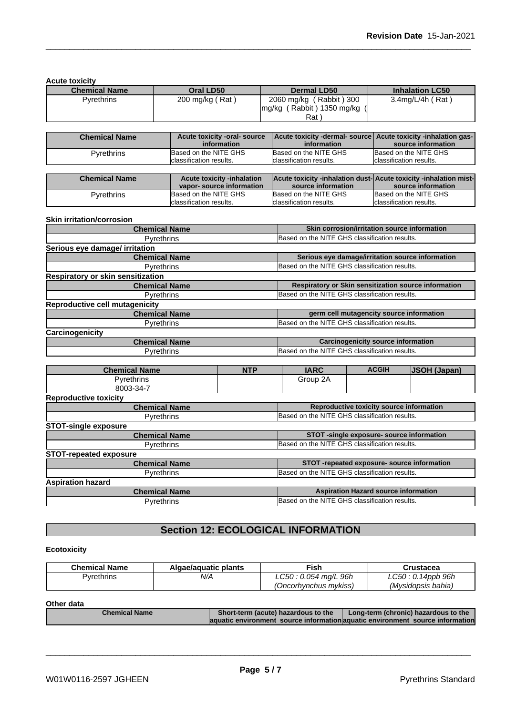**Acute toxicity**

| $\sim$               |                 |                                                      |                        |
|----------------------|-----------------|------------------------------------------------------|------------------------|
| <b>Chemical Name</b> | Oral LD50       | Dermal LD50                                          | <b>Inhalation LC50</b> |
| Pyrethrins           | 200 mg/kg (Rat) | 2060 mg/kg (Rabbit) 300<br>mg/kg (Rabbit) 1350 mg/kg | $3.4$ mg/L/4h (Rat)    |
|                      |                 | Rat .                                                |                        |

| <b>Chemical Name</b> | Acute toxicity -oral- source<br>information | Acute toxicity -dermal- source   Acute toxicity -inhalation gas-<br>information | source information       |
|----------------------|---------------------------------------------|---------------------------------------------------------------------------------|--------------------------|
| <b>Pyrethrins</b>    | Based on the NITE GHS                       | Based on the NITE GHS                                                           | Based on the NITE GHS    |
|                      | classification results.                     | classification results.                                                         | lclassification results. |
|                      |                                             |                                                                                 |                          |

| <b>Chemical Name</b> | Acute toxicity -inhalation |                          | <b>Acute toxicity -inhalation dust-Acute toxicity -inhalation mist-</b> |
|----------------------|----------------------------|--------------------------|-------------------------------------------------------------------------|
|                      | vapor- source information  | source information       | source information                                                      |
| Pvrethrins           | Based on the NITE GHS      | Based on the NITE GHS    | Based on the NITE GHS                                                   |
|                      | Iclassification results.   | Iclassification results. | Iclassification results.                                                |

#### **Skin irritation/corrosion**

| <b>Chemical Name</b>                  | Skin corrosion/irritation source information         |
|---------------------------------------|------------------------------------------------------|
| <b>Pyrethrins</b>                     | Based on the NITE GHS classification results.        |
| Serious eye damage/ irritation        |                                                      |
| <b>Chemical Name</b>                  | Serious eye damage/irritation source information     |
| <b>Pyrethrins</b>                     | Based on the NITE GHS classification results.        |
| Respiratory or skin sensitization     |                                                      |
| <b>Chemical Name</b>                  | Respiratory or Skin sensitization source information |
| <b>Pyrethrins</b>                     | Based on the NITE GHS classification results.        |
| <b>Reproductive cell mutagenicity</b> |                                                      |
| <b>Chemical Name</b>                  | germ cell mutagencity source information             |
| <b>Pyrethrins</b>                     | Based on the NITE GHS classification results.        |
| Carcinogenicity                       |                                                      |
| <b>Chemical Name</b>                  | <b>Carcinogenicity source information</b>            |
| <b>Pyrethrins</b>                     | Based on the NITE GHS classification results.        |

| <b>Chemical Name</b>          | <b>NTP</b> | <b>IARC</b>                                   | <b>ACGIH</b>                                  | <b>JSOH (Japan)</b> |
|-------------------------------|------------|-----------------------------------------------|-----------------------------------------------|---------------------|
| <b>Pyrethrins</b>             |            | Group 2A                                      |                                               |                     |
| 8003-34-7                     |            |                                               |                                               |                     |
| <b>Reproductive toxicity</b>  |            |                                               |                                               |                     |
| <b>Chemical Name</b>          |            |                                               | Reproductive toxicity source information      |                     |
| <b>Pyrethrins</b>             |            | Based on the NITE GHS classification results. |                                               |                     |
| <b>STOT-single exposure</b>   |            |                                               |                                               |                     |
| <b>Chemical Name</b>          |            |                                               | STOT -single exposure- source information     |                     |
| <b>Pyrethrins</b>             |            | Based on the NITE GHS classification results. |                                               |                     |
| <b>STOT-repeated exposure</b> |            |                                               |                                               |                     |
| <b>Chemical Name</b>          |            |                                               | STOT-repeated exposure- source information    |                     |
| <b>Pyrethrins</b>             |            |                                               | Based on the NITE GHS classification results. |                     |
| <b>Aspiration hazard</b>      |            |                                               |                                               |                     |
| <b>Chemical Name</b>          |            |                                               | <b>Aspiration Hazard source information</b>   |                     |
| <b>Pyrethrins</b>             |            | Based on the NITE GHS classification results. |                                               |                     |

# **Section 12: ECOLOGICAL INFORMATION**

# **Ecotoxicity**

| <b>Chemical Name</b> | Algae/aguatic plants | ™ish                  | Crustacea          |
|----------------------|----------------------|-----------------------|--------------------|
| Pvrethrins           | N/A                  | LC50: 0.054 mg/L 96h  | LC50 : 0.14ppb 96h |
|                      |                      | (Oncorhynchus mykiss) | (Mysidopsis bahia) |

### **Other data**

| <b>Chemical Name</b> | Short-term (acute) hazardous to the | Long-term (chronic) hazardous to the                                           |
|----------------------|-------------------------------------|--------------------------------------------------------------------------------|
|                      |                                     | laquatic environment source information aquatic environment source information |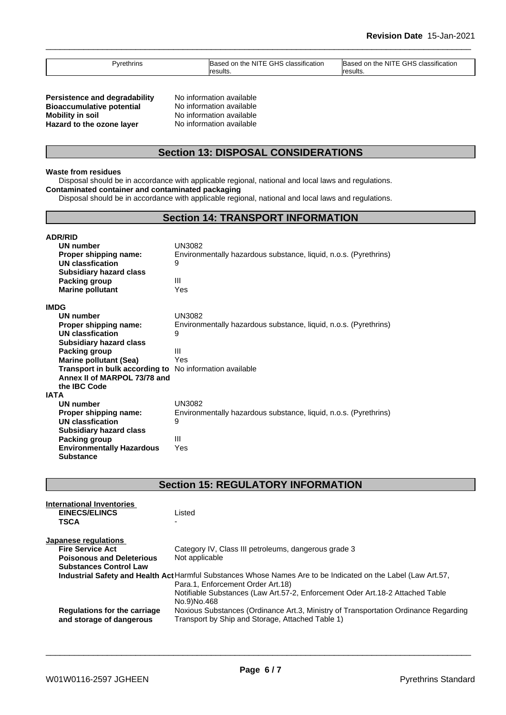| 'vrethrins | $\cdot$<br><b>GHS</b> classification<br>דוח מi ne NI<br>ased | $\cdots$<br><b>GHS</b><br>. NI"<br><b>Based</b><br>l on the<br>classification |
|------------|--------------------------------------------------------------|-------------------------------------------------------------------------------|
| $\sim$     |                                                              |                                                                               |
|            | esults.<br>roo                                               | Iresults.                                                                     |

**Persistence and degradability** No information available<br>**Bioaccumulative potential** No information available **Bioaccumulative potential<br>Mobility in soil Hazard to the ozone layer** No information available

**No information available** 

# **Section 13: DISPOSAL CONSIDERATIONS**

#### **Waste from residues**

Disposal should be in accordance with applicable regional, national and local laws and regulations. **Contaminated container and contaminated packaging**

Disposal should be in accordance with applicable regional, national and local laws and regulations.

# **Section 14: TRANSPORT INFORMATION**

| <b>ADR/RID</b>                                                 |                                                                  |  |  |
|----------------------------------------------------------------|------------------------------------------------------------------|--|--|
| <b>UN number</b>                                               | UN3082                                                           |  |  |
| Proper shipping name:                                          | Environmentally hazardous substance, liquid, n.o.s. (Pyrethrins) |  |  |
| UN classfication                                               | 9                                                                |  |  |
| <b>Subsidiary hazard class</b>                                 |                                                                  |  |  |
| <b>Packing group</b>                                           | Ш                                                                |  |  |
| <b>Marine pollutant</b>                                        | Yes                                                              |  |  |
| <b>IMDG</b>                                                    |                                                                  |  |  |
| <b>UN number</b>                                               | UN3082                                                           |  |  |
| Proper shipping name:                                          | Environmentally hazardous substance, liquid, n.o.s. (Pyrethrins) |  |  |
| UN classfication                                               | 9                                                                |  |  |
| <b>Subsidiary hazard class</b>                                 |                                                                  |  |  |
| Packing group                                                  | Ш                                                                |  |  |
| <b>Marine pollutant (Sea)</b>                                  | Yes                                                              |  |  |
| <b>Transport in bulk according to</b> No information available |                                                                  |  |  |
| Annex II of MARPOL 73/78 and                                   |                                                                  |  |  |
| the IBC Code                                                   |                                                                  |  |  |
| <b>IATA</b>                                                    |                                                                  |  |  |
| <b>UN number</b>                                               | <b>UN3082</b>                                                    |  |  |
| Proper shipping name:                                          | Environmentally hazardous substance, liquid, n.o.s. (Pyrethrins) |  |  |
| UN classfication                                               | 9                                                                |  |  |
| <b>Subsidiary hazard class</b>                                 |                                                                  |  |  |
| Packing group                                                  | Ш                                                                |  |  |
| <b>Environmentally Hazardous</b>                               | Yes                                                              |  |  |
| <b>Substance</b>                                               |                                                                  |  |  |

**Section 15: REGULATORY INFORMATION**

| International Inventories                                |                                                                                                                                         |
|----------------------------------------------------------|-----------------------------------------------------------------------------------------------------------------------------------------|
| <b>EINECS/ELINCS</b>                                     | Listed                                                                                                                                  |
| <b>TSCA</b>                                              | -                                                                                                                                       |
| Japanese regulations                                     |                                                                                                                                         |
| <b>Fire Service Act</b>                                  | Category IV, Class III petroleums, dangerous grade 3                                                                                    |
| <b>Poisonous and Deleterious</b>                         | Not applicable                                                                                                                          |
| <b>Substances Control Law</b>                            |                                                                                                                                         |
|                                                          | Industrial Safety and Health Act Harmful Substances Whose Names Are to be Indicated on the Label (Law Art.57,                           |
|                                                          | Para.1, Enforcement Order Art.18)                                                                                                       |
|                                                          | Notifiable Substances (Law Art.57-2, Enforcement Oder Art.18-2 Attached Table                                                           |
|                                                          | No.9)No.468                                                                                                                             |
| Regulations for the carriage<br>and storage of dangerous | Noxious Substances (Ordinance Art.3, Ministry of Transportation Ordinance Regarding<br>Transport by Ship and Storage, Attached Table 1) |
|                                                          |                                                                                                                                         |